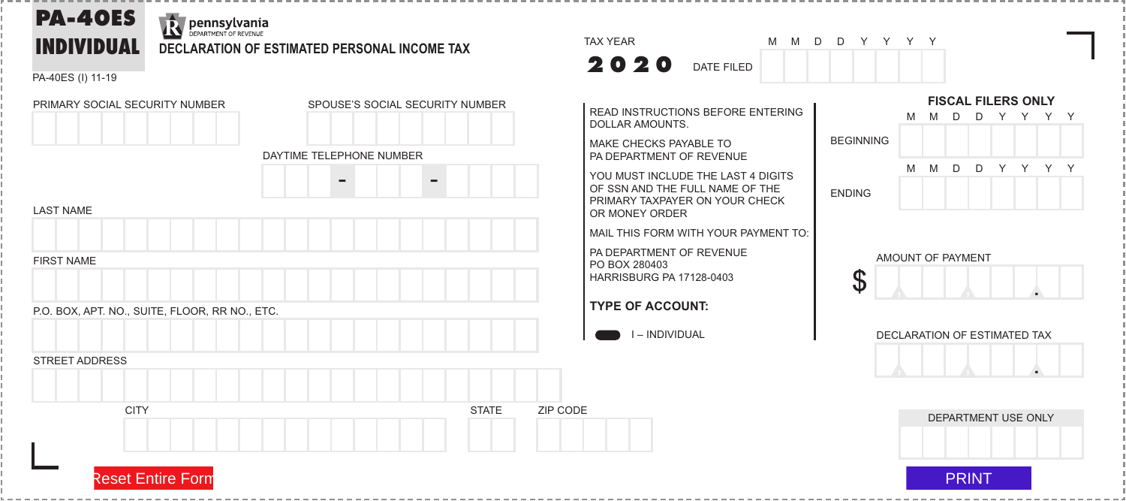# **PA-40ES**

### **R** pennsylvania **INDIVIDUAL DECLARATION OF ESTIMATED PERSONAL INCOME TAX**

PA-40ES (I) 11-19





M M D D Y Y Y Y

READ INSTRUCTIONS BEFORE ENTERING DOLLAR AMOUNTS.

MAKE CHECKS PAYABLE TO PA DEPARTMENT OF REVENUE

YOU MUST INCLUDE THE LAST 4 DIGITS OF SSN AND THE FULL NAME OF THE PRIMARY TAXPAYER ON YOUR CHECK OR MONEY ORDER

MAIL THIS FORM WITH YOUR PAYMENT TO:

PA DEPARTMENT OF REVENUE PO BOX 280403 HARRISBURG PA 17128-0403

#### **TYPE OF ACCOUNT:**

I – INDIVIDUAL





DECLARATION OF ESTIMATED TAX  $\begin{array}{c|c|c|c|c|c} \hline \multicolumn{2}{c|}{\textbf{A}} & \multicolumn{2}{c|}{\textbf{A}} \\ \hline \multicolumn{2}{c|}{\textbf{A}} & \multicolumn{2}{c|}{\textbf{A}} \\ \hline \multicolumn{2}{c|}{\textbf{A}} & \multicolumn{2}{c|}{\textbf{A}} \\ \hline \multicolumn{2}{c|}{\textbf{A}} & \multicolumn{2}{c|}{\textbf{A}} \\ \hline \multicolumn{2}{c|}{\textbf{A}} & \multicolumn{2}{c|}{\textbf{A}} \\ \hline \multicolumn{2}{c|}{\textbf{A$ ▲.



Reset Entire Form PRINT

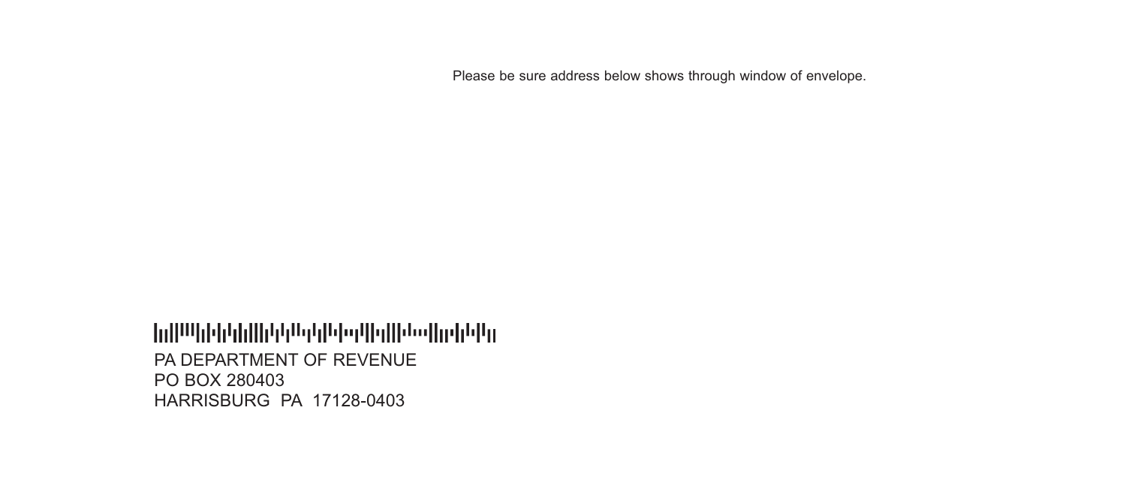Please be sure address below shows through window of envelope.

#### PA DEPARTMENT OF REVENUE PO BOX 280403 HARRISBURG PA 17128-0403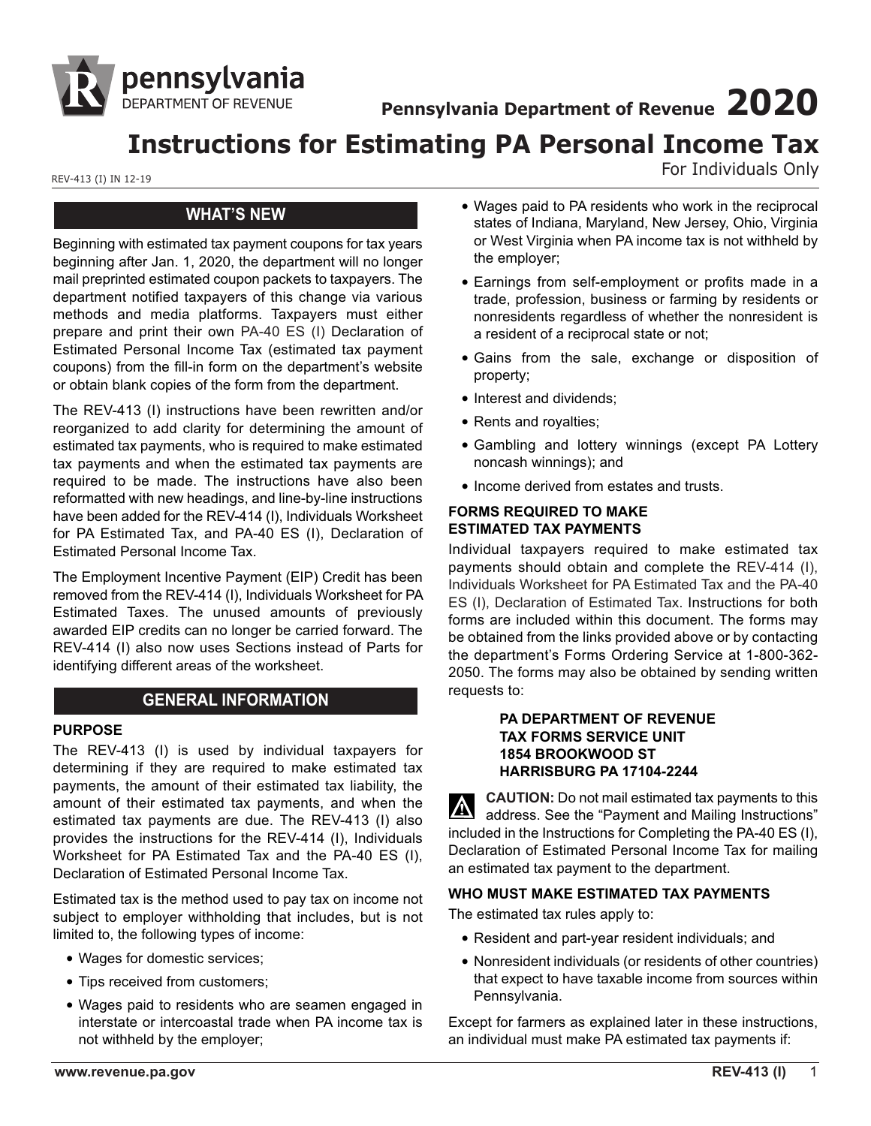

**Pennsylvania Department of Revenue 2020**

## **Instructions for Estimating PA Personal Income Tax**

REV-413 (I) IN 12-19 REV-413 (I) IN 12-19

## **WHAT'S NEW**

Beginning with estimated tax payment coupons for tax years beginning after Jan. 1, 2020, the department will no longer mail preprinted estimated coupon packets to taxpayers. The department notified taxpayers of this change via various methods and media platforms. Taxpayers must either prepare and print their own PA-40 ES (I) Declaration of Estimated Personal Income Tax (estimated tax payment coupons) from the fill-in form on the department's website or obtain blank copies of the form from the department.

The REV-413 (I) instructions have been rewritten and/or reorganized to add clarity for determining the amount of estimated tax payments, who is required to make estimated tax payments and when the estimated tax payments are required to be made. The instructions have also been reformatted with new headings, and line-by-line instructions have been added for the REV-414 (I), Individuals Worksheet for PA Estimated Tax, and PA-40 ES (I), Declaration of Estimated Personal Income Tax.

The Employment Incentive Payment (EIP) Credit has been removed from the REV-414 (I), Individuals Worksheet for PA Estimated Taxes. The unused amounts of previously awarded EIP credits can no longer be carried forward. The REV-414 (I) also now uses Sections instead of Parts for identifying different areas of the worksheet.

## **GENERAL INFORMATION**

#### **PURPOSE**

The REV-413 (I) is used by individual taxpayers for determining if they are required to make estimated tax payments, the amount of their estimated tax liability, the amount of their estimated tax payments, and when the estimated tax payments are due. The REV-413 (I) also provides the instructions for the REV-414 (I), Individuals Worksheet for PA Estimated Tax and the PA-40 ES (I), Declaration of Estimated Personal Income Tax.

Estimated tax is the method used to pay tax on income not subject to employer withholding that includes, but is not limited to, the following types of income:

- Wages for domestic services;
- Tips received from customers;
- Wages paid to residents who are seamen engaged in interstate or intercoastal trade when PA income tax is not withheld by the employer;
- Wages paid to PA residents who work in the reciprocal states of Indiana, Maryland, New Jersey, Ohio, Virginia or West Virginia when PA income tax is not withheld by the employer;
- Earnings from self-employment or profits made in a trade, profession, business or farming by residents or nonresidents regardless of whether the nonresident is a resident of a reciprocal state or not;
- Gains from the sale, exchange or disposition of property;
- Interest and dividends;
- Rents and royalties;
- Gambling and lottery winnings (except PA Lottery noncash winnings); and
- Income derived from estates and trusts.

#### **FORMS REQUIRED TO MAKE ESTIMATED TAX PAYMENTS**

Individual taxpayers required to make estimated tax payments should obtain and complete the REV-414 (I), Individuals Worksheet for PA Estimated Tax and the PA-40 ES (I), Declaration of Estimated Tax. Instructions for both forms are included within this document. The forms may be obtained from the links provided above or by contacting the department's Forms Ordering Service at 1-800-362- 2050. The forms may also be obtained by sending written requests to:

#### **PA DEPARTMENT OF REVENUE TAX FORMS SERVICE UNIT 1854 BROOKWOOD ST HARRISBURG PA 17104-2244**

**CAUTION:** Do not mail estimated tax payments to this address. See the "Payment and Mailing Instructions" included in the Instructions for Completing the PA-40 ES (I), Declaration of Estimated Personal Income Tax for mailing an estimated tax payment to the department.

## **WHO MUST MAKE ESTIMATED TAX PAYMENTS**

The estimated tax rules apply to:

- Resident and part-year resident individuals; and
- Nonresident individuals (or residents of other countries) that expect to have taxable income from sources within Pennsylvania.

Except for farmers as explained later in these instructions, an individual must make PA estimated tax payments if: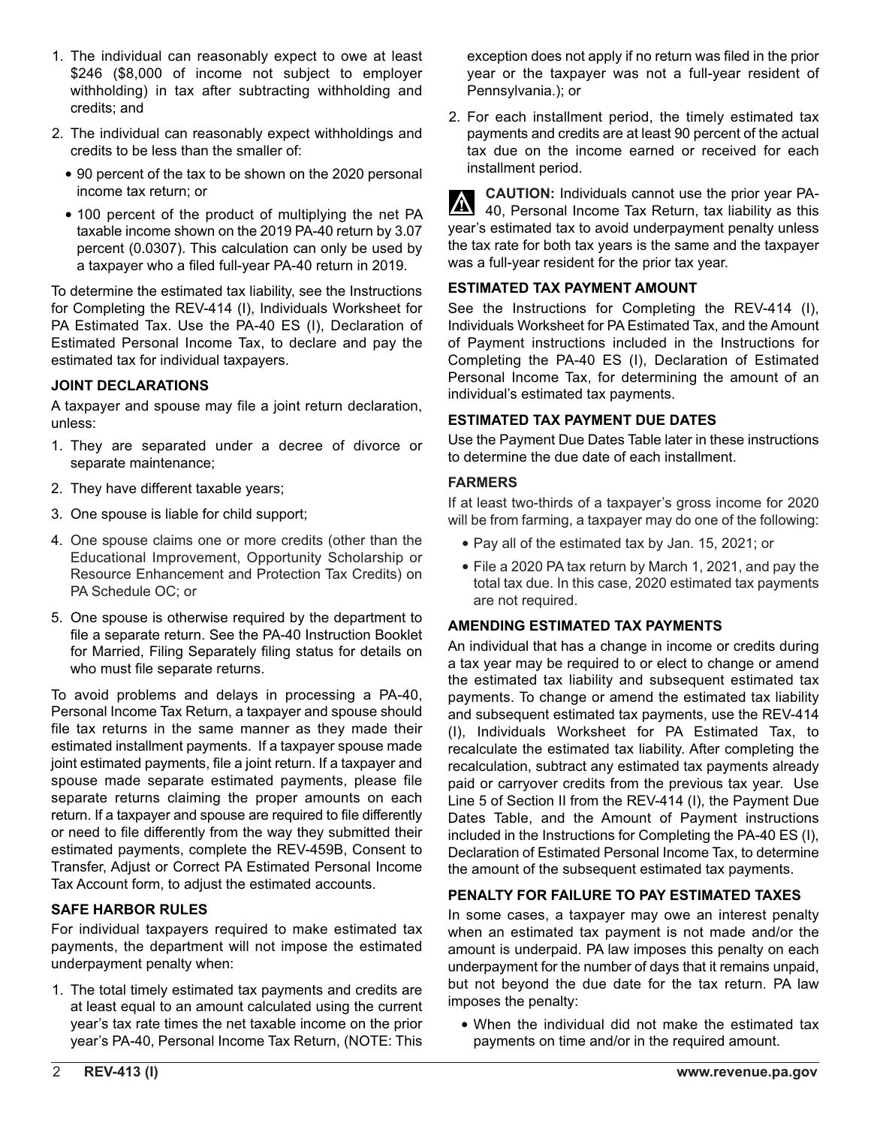- 1. The individual can reasonably expect to owe at least \$246 (\$8,000 of income not subject to employer withholding) in tax after subtracting withholding and credits; and
- 2. The individual can reasonably expect withholdings and credits to be less than the smaller of:
	- 90 percent of the tax to be shown on the 2020 personal income tax return; or
	- 100 percent of the product of multiplying the net PA taxable income shown on the 2019 PA-40 return by 3.07 percent (0.0307). This calculation can only be used by a taxpayer who a filed full-year PA-40 return in 2019.

To determine the estimated tax liability, see the Instructions for Completing the REV-414 (I), Individuals Worksheet for PA Estimated Tax. Use the PA-40 ES (I), Declaration of Estimated Personal Income Tax, to declare and pay the estimated tax for individual taxpayers.

#### **JOINT DECLARATIONS**

A taxpayer and spouse may file a joint return declaration, unless:

- 1. They are separated under a decree of divorce or separate maintenance;
- 2. They have different taxable years;
- 3. One spouse is liable for child support;
- 4. One spouse claims one or more credits (other than the Educational Improvement, Opportunity Scholarship or Resource Enhancement and Protection Tax Credits) on PA Schedule OC; or
- 5. One spouse is otherwise required by the department to file a separate return. See the PA-40 Instruction Booklet for Married, Filing Separately filing status for details on who must file separate returns.

To avoid problems and delays in processing a PA-40, Personal Income Tax Return, a taxpayer and spouse should file tax returns in the same manner as they made their estimated installment payments. If a taxpayer spouse made joint estimated payments, file a joint return. If a taxpayer and spouse made separate estimated payments, please file separate returns claiming the proper amounts on each return. If a taxpayer and spouse are required to file differently or need to file differently from the way they submitted their estimated payments, complete the REV-459B, Consent to Transfer, Adjust or Correct PA Estimated Personal Income Tax Account form, to adjust the estimated accounts.

#### **SAFE HARBOR RULES**

For individual taxpayers required to make estimated tax payments, the department will not impose the estimated underpayment penalty when:

1. The total timely estimated tax payments and credits are at least equal to an amount calculated using the current year's tax rate times the net taxable income on the prior year's PA-40, Personal Income Tax Return, (NOTE: This

exception does not apply if no return was filed in the prior year or the taxpayer was not a full-year resident of Pennsylvania.); or

2. For each installment period, the timely estimated tax payments and credits are at least 90 percent of the actual tax due on the income earned or received for each installment period.

**CAUTION:** Individuals cannot use the prior year PA-40, Personal Income Tax Return, tax liability as this year's estimated tax to avoid underpayment penalty unless the tax rate for both tax years is the same and the taxpayer was a full-year resident for the prior tax year.

#### **ESTIMATED TAX PAYMENT AMOUNT**

See the Instructions for Completing the REV-414 (I), Individuals Worksheet for PA Estimated Tax, and the Amount of Payment instructions included in the Instructions for Completing the PA-40 ES (I), Declaration of Estimated Personal Income Tax, for determining the amount of an individual's estimated tax payments.

#### **ESTIMATED TAX PAYMENT DUE DATES**

Use the Payment Due Dates Table later in these instructions to determine the due date of each installment.

#### **FARMERS**

If at least two-thirds of a taxpayer's gross income for 2020 will be from farming, a taxpayer may do one of the following:

- Pay all of the estimated tax by Jan. 15, 2021; or
- File a 2020 PA tax return by March 1, 2021, and pay the total tax due. In this case, 2020 estimated tax payments are not required.

#### **AMENDING ESTIMATED TAX PAYMENTS**

An individual that has a change in income or credits during a tax year may be required to or elect to change or amend the estimated tax liability and subsequent estimated tax payments. To change or amend the estimated tax liability and subsequent estimated tax payments, use the REV-414 (I), Individuals Worksheet for PA Estimated Tax, to recalculate the estimated tax liability. After completing the recalculation, subtract any estimated tax payments already paid or carryover credits from the previous tax year. Use Line 5 of Section II from the REV-414 (I), the Payment Due Dates Table, and the Amount of Payment instructions included in the Instructions for Completing the PA-40 ES (I), Declaration of Estimated Personal Income Tax, to determine the amount of the subsequent estimated tax payments.

#### **PENALTY FOR FAILURE TO PAY ESTIMATED TAXES**

In some cases, a taxpayer may owe an interest penalty when an estimated tax payment is not made and/or the amount is underpaid. PA law imposes this penalty on each underpayment for the number of days that it remains unpaid, but not beyond the due date for the tax return. PA law imposes the penalty:

• When the individual did not make the estimated tax payments on time and/or in the required amount.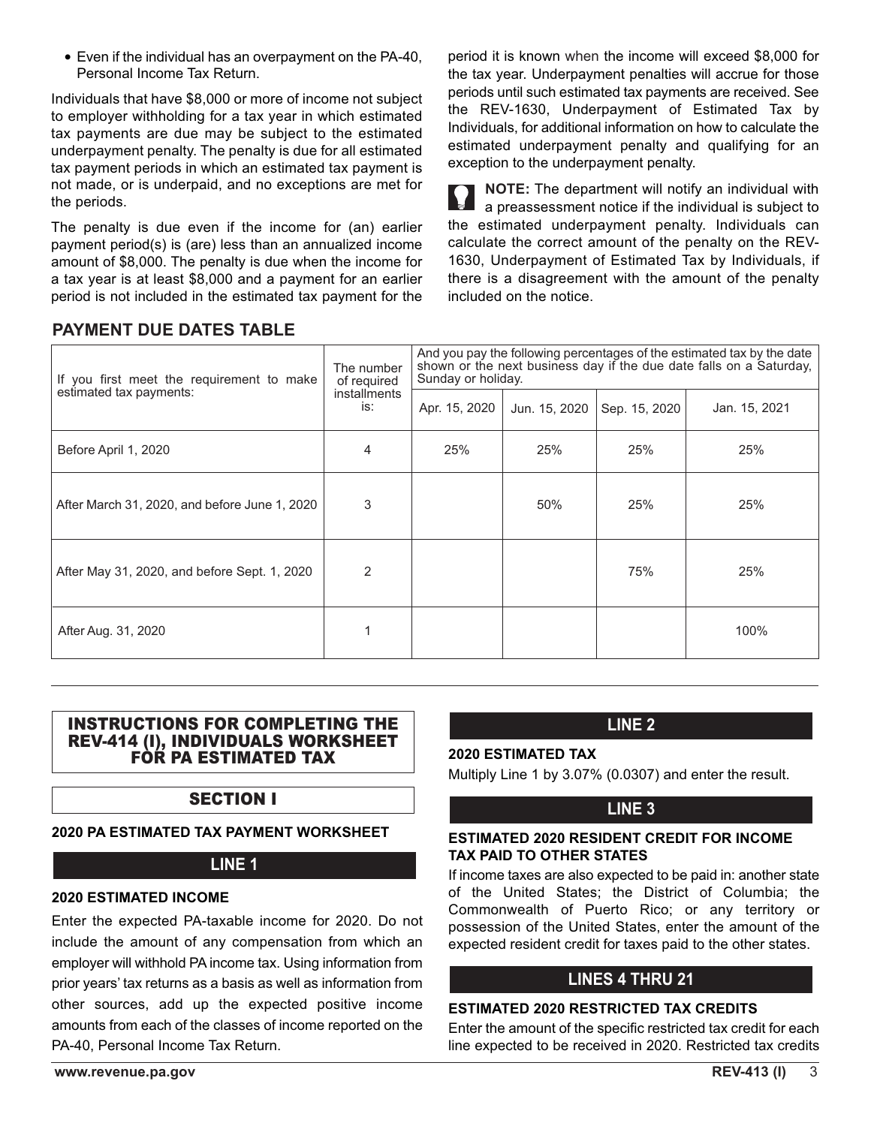• Even if the individual has an overpayment on the PA-40, Personal Income Tax Return.

Individuals that have \$8,000 or more of income not subject to employer withholding for a tax year in which estimated tax payments are due may be subject to the estimated underpayment penalty. The penalty is due for all estimated tax payment periods in which an estimated tax payment is not made, or is underpaid, and no exceptions are met for the periods.

The penalty is due even if the income for (an) earlier payment period(s) is (are) less than an annualized income amount of \$8,000. The penalty is due when the income for a tax year is at least \$8,000 and a payment for an earlier period is not included in the estimated tax payment for the

period it is known when the income will exceed \$8,000 for the tax year. Underpayment penalties will accrue for those periods until such estimated tax payments are received. See the REV-1630, Underpayment of Estimated Tax by Individuals, for additional information on how to calculate the estimated underpayment penalty and qualifying for an exception to the underpayment penalty.

**NOTE:** The department will notify an individual with a preassessment notice if the individual is subject to the estimated underpayment penalty. Individuals can calculate the correct amount of the penalty on the REV-1630, Underpayment of Estimated Tax by Individuals, if there is a disagreement with the amount of the penalty included on the notice.

| <b>PAYMENT DUE DATES TABLE</b> |  |  |
|--------------------------------|--|--|
|                                |  |  |

| If you first meet the requirement to make     | The number<br>of required<br><i>installments</i><br>is: | And you pay the following percentages of the estimated tax by the date<br>shown or the next business day if the due date falls on a Saturday,<br>Sunday or holiday. |               |               |               |
|-----------------------------------------------|---------------------------------------------------------|---------------------------------------------------------------------------------------------------------------------------------------------------------------------|---------------|---------------|---------------|
| estimated tax payments:                       |                                                         | Apr. 15, 2020                                                                                                                                                       | Jun. 15, 2020 | Sep. 15, 2020 | Jan. 15, 2021 |
| Before April 1, 2020                          | $\overline{4}$                                          | 25%                                                                                                                                                                 | 25%           | 25%           | 25%           |
| After March 31, 2020, and before June 1, 2020 | 3                                                       |                                                                                                                                                                     | 50%           | 25%           | 25%           |
| After May 31, 2020, and before Sept. 1, 2020  | 2                                                       |                                                                                                                                                                     |               | 75%           | 25%           |
| After Aug. 31, 2020                           |                                                         |                                                                                                                                                                     |               |               | 100%          |

#### INSTRUCTIONS FOR COMPLETING THE REV-414 (I), INDIVIDUALS WORKSHEET FOR PA ESTIMATED TAX

## SECTION I

## **2020 PA ESTIMATED TAX PAYMENT WORKSHEET**

## **LINE 1**

#### **2020 ESTIMATED INCOME**

Enter the expected PA-taxable income for 2020. Do not include the amount of any compensation from which an employer will withhold PA income tax. Using information from prior years' tax returns as a basis as well as information from other sources, add up the expected positive income amounts from each of the classes of income reported on the PA-40, Personal Income Tax Return.

## **LINE 2**

## **2020 ESTIMATED TAX**

Multiply Line 1 by 3.07% (0.0307) and enter the result.

## **LINE 3**

#### **ESTIMATED 2020 RESIDENT CREDIT FOR INCOME TAX PAID TO OTHER STATES**

If income taxes are also expected to be paid in: another state of the United States; the District of Columbia; the Commonwealth of Puerto Rico; or any territory or possession of the United States, enter the amount of the expected resident credit for taxes paid to the other states.

## **LINES 4 THRU 21**

## **ESTIMATED 2020 RESTRICTED TAX CREDITS**

Enter the amount of the specific restricted tax credit for each line expected to be received in 2020. Restricted tax credits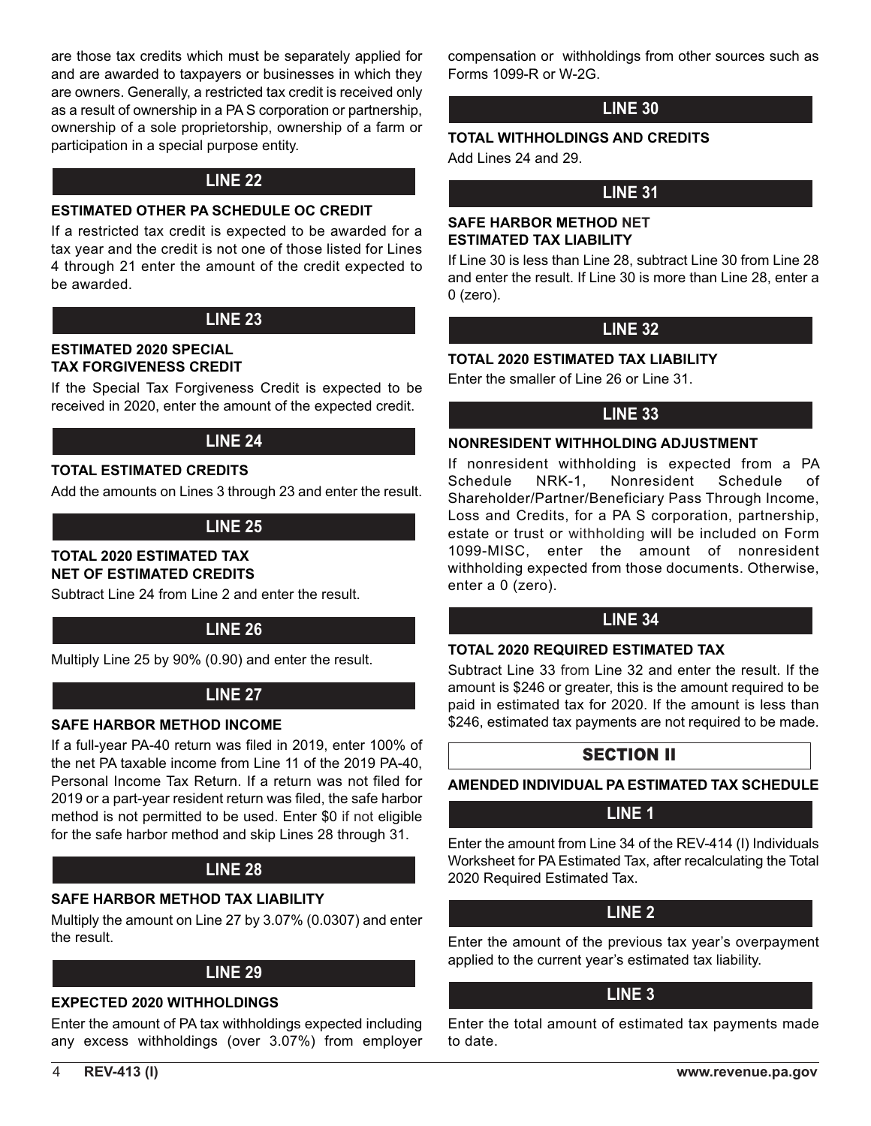are those tax credits which must be separately applied for and are awarded to taxpayers or businesses in which they are owners. Generally, a restricted tax credit is received only as a result of ownership in a PA S corporation or partnership, ownership of a sole proprietorship, ownership of a farm or participation in a special purpose entity.

## **LINE 22**

#### **ESTIMATED OTHER PA SCHEDULE OC CREDIT**

If a restricted tax credit is expected to be awarded for a tax year and the credit is not one of those listed for Lines 4 through 21 enter the amount of the credit expected to be awarded.

## **LINE 23**

#### **ESTIMATED 2020 SPECIAL TAX FORGIVENESS CREDIT**

If the Special Tax Forgiveness Credit is expected to be received in 2020, enter the amount of the expected credit.

## **LINE 24**

## **TOTAL ESTIMATED CREDITS**

Add the amounts on Lines 3 through 23 and enter the result.

## **LINE 25**

#### **TOTAL 2020 ESTIMATED TAX NET OF ESTIMATED CREDITS**

Subtract Line 24 from Line 2 and enter the result.

## **LINE 26**

Multiply Line 25 by 90% (0.90) and enter the result.

## **LINE 27**

## **SAFE HARBOR METHOD INCOME**

If a full-year PA-40 return was filed in 2019, enter 100% of the net PA taxable income from Line 11 of the 2019 PA-40, Personal Income Tax Return. If a return was not filed for 2019 or a part-year resident return was filed, the safe harbor method is not permitted to be used. Enter \$0 if not eligible for the safe harbor method and skip Lines 28 through 31.

## **LINE 28**

#### **SAFE HARBOR METHOD TAX LIABILITY**

Multiply the amount on Line 27 by 3.07% (0.0307) and enter the result.

## **LINE 29**

#### **EXPECTED 2020 WITHHOLDINGS**

Enter the amount of PA tax withholdings expected including any excess withholdings (over 3.07%) from employer compensation or withholdings from other sources such as Forms 1099-R or W-2G.

## **LINE 30**

## **TOTAL WITHHOLDINGS AND CREDITS**

Add Lines 24 and 29.

## **LINE 31**

#### **SAFE HARBOR METHOD NET ESTIMATED TAX LIABILITY**

If Line 30 is less than Line 28, subtract Line 30 from Line 28 and enter the result. If Line 30 is more than Line 28, enter a 0 (zero).

## **LINE 32**

#### **TOTAL 2020 ESTIMATED TAX LIABILITY**

Enter the smaller of Line 26 or Line 31.

## **LINE 33**

#### **NONRESIDENT WITHHOLDING ADJUSTMENT**

If nonresident withholding is expected from a PA Schedule NRK-1, Nonresident Schedule of Shareholder/Partner/Beneficiary Pass Through Income, Loss and Credits, for a PA S corporation, partnership, estate or trust or withholding will be included on Form 1099-MISC, enter the amount of nonresident withholding expected from those documents. Otherwise, enter a 0 (zero).

## **LINE 34**

#### **TOTAL 2020 REQUIRED ESTIMATED TAX**

Subtract Line 33 from Line 32 and enter the result. If the amount is \$246 or greater, this is the amount required to be paid in estimated tax for 2020. If the amount is less than \$246, estimated tax payments are not required to be made.

## SECTION II

**AMENDED INDIVIDUAL PA ESTIMATED TAX SCHEDULE** 

## **LINE 1**

Enter the amount from Line 34 of the REV-414 (I) Individuals Worksheet for PA Estimated Tax, after recalculating the Total 2020 Required Estimated Tax.

## **LINE 2**

Enter the amount of the previous tax year's overpayment applied to the current year's estimated tax liability.

## **LINE 3**

Enter the total amount of estimated tax payments made to date.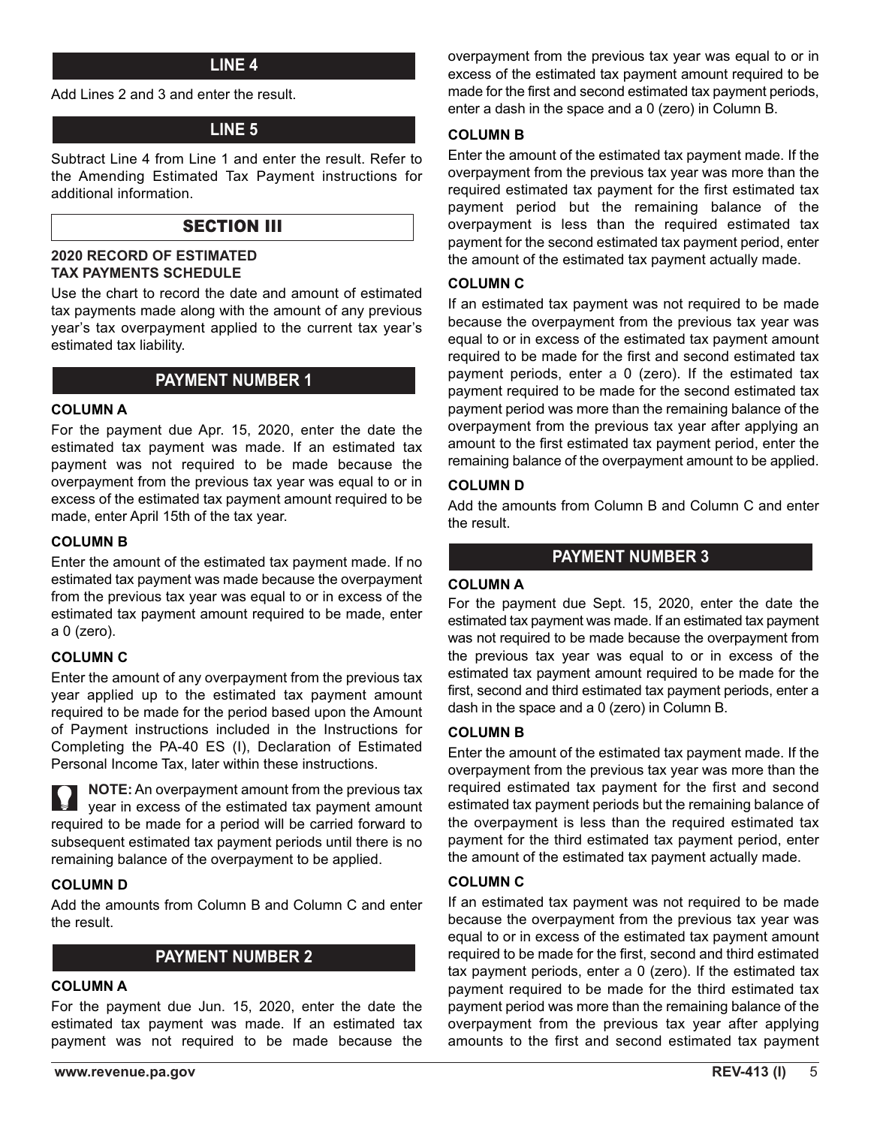### **LINE 4**

Add Lines 2 and 3 and enter the result.

## **LINE 5**

Subtract Line 4 from Line 1 and enter the result. Refer to the Amending Estimated Tax Payment instructions for additional information.

## SECTION III

#### **2020 RECORD OF ESTIMATED TAX PAYMENTS SCHEDULE**

Use the chart to record the date and amount of estimated tax payments made along with the amount of any previous year's tax overpayment applied to the current tax year's estimated tax liability.

#### **PAYMENT NUMBER 1**

#### **COLUMN A**

For the payment due Apr. 15, 2020, enter the date the estimated tax payment was made. If an estimated tax payment was not required to be made because the overpayment from the previous tax year was equal to or in excess of the estimated tax payment amount required to be made, enter April 15th of the tax year.

#### **COLUMN B**

Enter the amount of the estimated tax payment made. If no estimated tax payment was made because the overpayment from the previous tax year was equal to or in excess of the estimated tax payment amount required to be made, enter a 0 (zero).

#### **COLUMN C**

Enter the amount of any overpayment from the previous tax year applied up to the estimated tax payment amount required to be made for the period based upon the Amount of Payment instructions included in the Instructions for Completing the PA-40 ES (I), Declaration of Estimated Personal Income Tax, later within these instructions.

**NOTE:** An overpayment amount from the previous tax year in excess of the estimated tax payment amount required to be made for a period will be carried forward to subsequent estimated tax payment periods until there is no remaining balance of the overpayment to be applied.

#### **COLUMN D**

Add the amounts from Column B and Column C and enter the result.

## **PAYMENT NUMBER 2**

#### **COLUMN A**

For the payment due Jun. 15, 2020, enter the date the estimated tax payment was made. If an estimated tax payment was not required to be made because the

overpayment from the previous tax year was equal to or in excess of the estimated tax payment amount required to be made for the first and second estimated tax payment periods, enter a dash in the space and a 0 (zero) in Column B.

#### **COLUMN B**

Enter the amount of the estimated tax payment made. If the overpayment from the previous tax year was more than the required estimated tax payment for the first estimated tax payment period but the remaining balance of the overpayment is less than the required estimated tax payment for the second estimated tax payment period, enter the amount of the estimated tax payment actually made.

#### **COLUMN C**

If an estimated tax payment was not required to be made because the overpayment from the previous tax year was equal to or in excess of the estimated tax payment amount required to be made for the first and second estimated tax payment periods, enter a 0 (zero). If the estimated tax payment required to be made for the second estimated tax payment period was more than the remaining balance of the overpayment from the previous tax year after applying an amount to the first estimated tax payment period, enter the remaining balance of the overpayment amount to be applied.

#### **COLUMN D**

Add the amounts from Column B and Column C and enter the result.

## **PAYMENT NUMBER 3**

#### **COLUMN A**

For the payment due Sept. 15, 2020, enter the date the estimated tax payment was made. If an estimated tax payment was not required to be made because the overpayment from the previous tax year was equal to or in excess of the estimated tax payment amount required to be made for the first, second and third estimated tax payment periods, enter a dash in the space and a 0 (zero) in Column B.

#### **COLUMN B**

Enter the amount of the estimated tax payment made. If the overpayment from the previous tax year was more than the required estimated tax payment for the first and second estimated tax payment periods but the remaining balance of the overpayment is less than the required estimated tax payment for the third estimated tax payment period, enter the amount of the estimated tax payment actually made.

#### **COLUMN C**

If an estimated tax payment was not required to be made because the overpayment from the previous tax year was equal to or in excess of the estimated tax payment amount required to be made for the first, second and third estimated tax payment periods, enter a 0 (zero). If the estimated tax payment required to be made for the third estimated tax payment period was more than the remaining balance of the overpayment from the previous tax year after applying amounts to the first and second estimated tax payment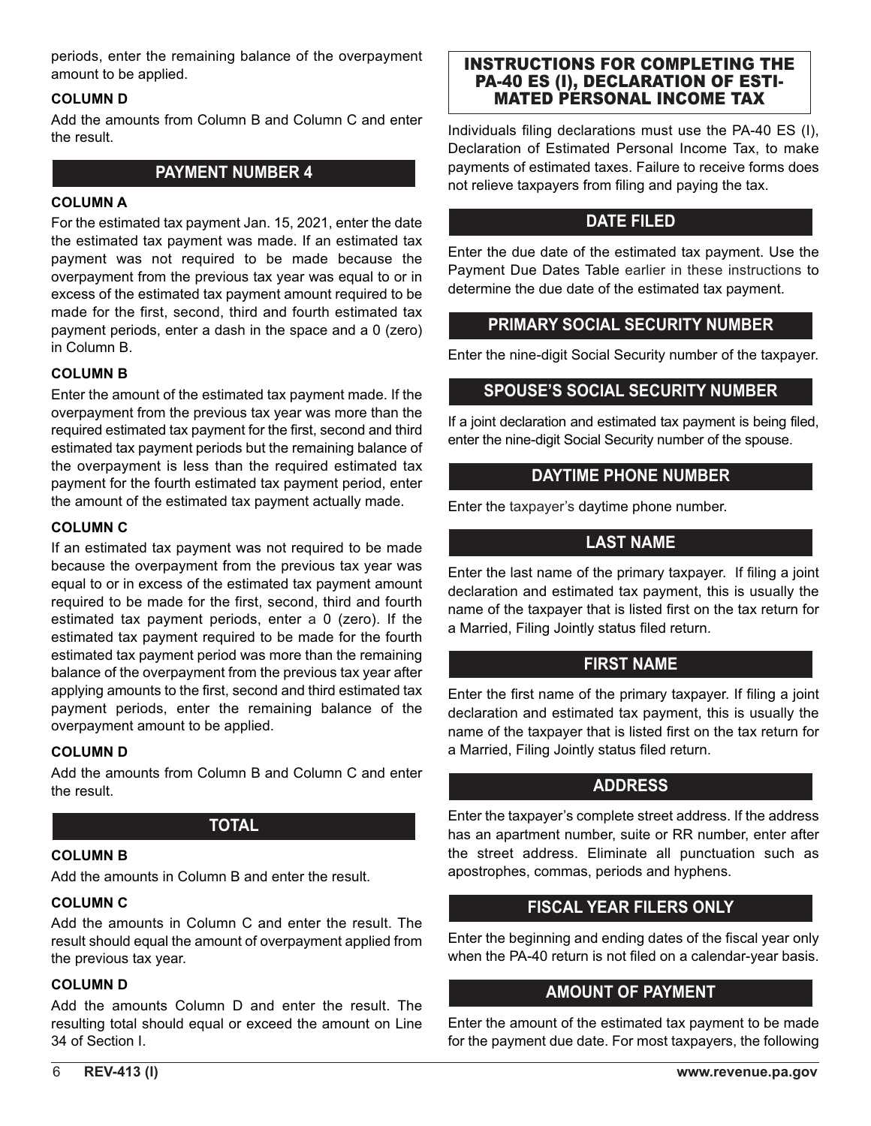periods, enter the remaining balance of the overpayment amount to be applied.

#### **COLUMN D**

Add the amounts from Column B and Column C and enter the result.

## **PAYMENT NUMBER 4**

#### **COLUMN A**

For the estimated tax payment Jan. 15, 2021, enter the date the estimated tax payment was made. If an estimated tax payment was not required to be made because the overpayment from the previous tax year was equal to or in excess of the estimated tax payment amount required to be made for the first, second, third and fourth estimated tax payment periods, enter a dash in the space and a 0 (zero) in Column B.

#### **COLUMN B**

Enter the amount of the estimated tax payment made. If the overpayment from the previous tax year was more than the required estimated tax payment for the first, second and third estimated tax payment periods but the remaining balance of the overpayment is less than the required estimated tax payment for the fourth estimated tax payment period, enter the amount of the estimated tax payment actually made.

#### **COLUMN C**

If an estimated tax payment was not required to be made because the overpayment from the previous tax year was equal to or in excess of the estimated tax payment amount required to be made for the first, second, third and fourth estimated tax payment periods, enter a 0 (zero). If the estimated tax payment required to be made for the fourth estimated tax payment period was more than the remaining balance of the overpayment from the previous tax year after applying amounts to the first, second and third estimated tax payment periods, enter the remaining balance of the overpayment amount to be applied.

## **COLUMN D**

Add the amounts from Column B and Column C and enter the result.

## **TOTAL**

#### **COLUMN B**

Add the amounts in Column B and enter the result.

#### **COLUMN C**

Add the amounts in Column C and enter the result. The result should equal the amount of overpayment applied from the previous tax year.

#### **COLUMN D**

Add the amounts Column D and enter the result. The resulting total should equal or exceed the amount on Line 34 of Section I.

#### INSTRUCTIONS FOR COMPLETING THE PA-40 ES (I), DECLARATION OF ESTI-MATED PERSONAL INCOME TAX

Individuals filing declarations must use the PA-40 ES (I), Declaration of Estimated Personal Income Tax, to make payments of estimated taxes. Failure to receive forms does not relieve taxpayers from filing and paying the tax.

## **DATE FILED**

Enter the due date of the estimated tax payment. Use the Payment Due Dates Table earlier in these instructions to determine the due date of the estimated tax payment.

## **PRIMARY SOCIAL SECURITY NUMBER**

Enter the nine-digit Social Security number of the taxpayer.

## **SPOUSE'S SOCIAL SECURITY NUMBER**

If a joint declaration and estimated tax payment is being filed, enter the nine-digit Social Security number of the spouse.

## **DAYTIME PHONE NUMBER**

Enter the taxpayer's daytime phone number.

## **LAST NAME**

Enter the last name of the primary taxpayer. If filing a joint declaration and estimated tax payment, this is usually the name of the taxpayer that is listed first on the tax return for a Married, Filing Jointly status filed return.

## **FIRST NAME**

Enter the first name of the primary taxpayer. If filing a joint declaration and estimated tax payment, this is usually the name of the taxpayer that is listed first on the tax return for a Married, Filing Jointly status filed return.

## **ADDRESS**

Enter the taxpayer's complete street address. If the address has an apartment number, suite or RR number, enter after the street address. Eliminate all punctuation such as apostrophes, commas, periods and hyphens.

## **FISCAL YEAR FILERS ONLY**

Enter the beginning and ending dates of the fiscal year only when the PA-40 return is not filed on a calendar-year basis.

## **AMOUNT OF PAYMENT**

Enter the amount of the estimated tax payment to be made for the payment due date. For most taxpayers, the following